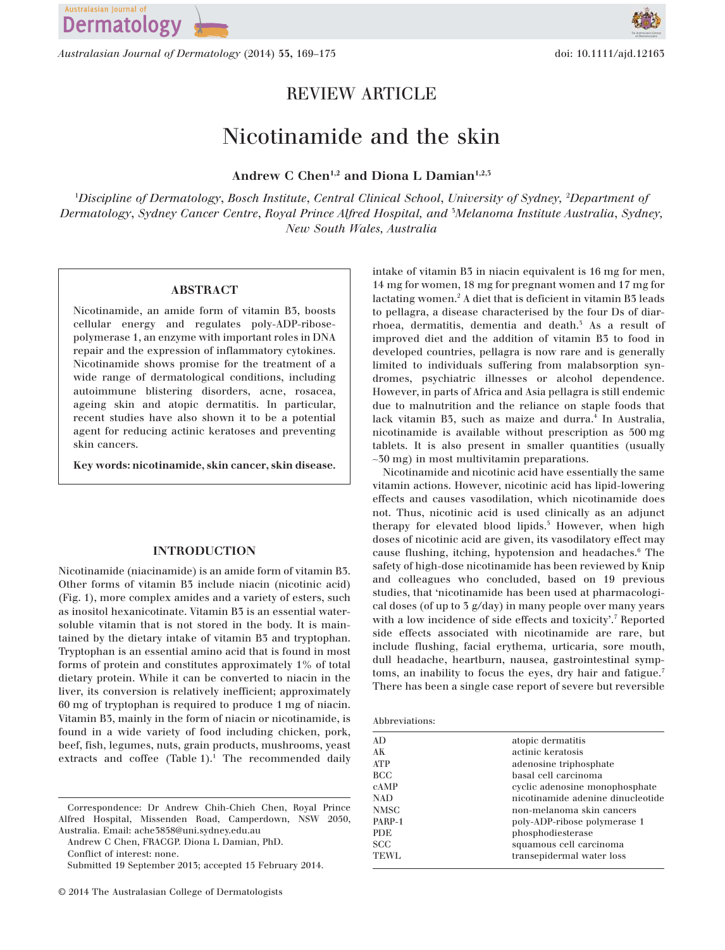

*Australasian Journal of Dermatology* (2014) **55,** 169–175 doi: 10.1111/ajd.12163

## REVIEW ARTICLE

# Nicotinamide and the skin

### **Andrew C Chen1,2 and Diona L Damian1,2,3**

<sup>1</sup>*Discipline of Dermatology*, *Bosch Institute*, *Central Clinical School*, *University of Sydney,* <sup>2</sup>*Department of Dermatology*, *Sydney Cancer Centre*, *Royal Prince Alfred Hospital, and* <sup>3</sup>*Melanoma Institute Australia*, *Sydney, New South Wales, Australia*

#### **ABSTRACT**

Nicotinamide, an amide form of vitamin B3, boosts cellular energy and regulates poly-ADP-ribosepolymerase 1, an enzyme with important roles in DNA repair and the expression of inflammatory cytokines. Nicotinamide shows promise for the treatment of a wide range of dermatological conditions, including autoimmune blistering disorders, acne, rosacea, ageing skin and atopic dermatitis. In particular, recent studies have also shown it to be a potential agent for reducing actinic keratoses and preventing skin cancers.

**Key words: nicotinamide, skin cancer, skin disease.**

#### **INTRODUCTION**

Nicotinamide (niacinamide) is an amide form of vitamin B3. Other forms of vitamin B3 include niacin (nicotinic acid) (Fig. 1), more complex amides and a variety of esters, such as inositol hexanicotinate. Vitamin B3 is an essential watersoluble vitamin that is not stored in the body. It is maintained by the dietary intake of vitamin B3 and tryptophan. Tryptophan is an essential amino acid that is found in most forms of protein and constitutes approximately 1% of total dietary protein. While it can be converted to niacin in the liver, its conversion is relatively inefficient; approximately 60 mg of tryptophan is required to produce 1 mg of niacin. Vitamin B3, mainly in the form of niacin or nicotinamide, is found in a wide variety of food including chicken, pork, beef, fish, legumes, nuts, grain products, mushrooms, yeast extracts and coffee (Table  $1$ ).<sup>1</sup> The recommended daily

Correspondence: Dr Andrew Chih-Chieh Chen, Royal Prince Alfred Hospital, Missenden Road, Camperdown, NSW 2050, Australia. Email: ache3858@uni.sydney.edu.au

Andrew C Chen, FRACGP. Diona L Damian, PhD.

Conflict of interest: none.

intake of vitamin B3 in niacin equivalent is 16 mg for men, 14 mg for women, 18 mg for pregnant women and 17 mg for lactating women.<sup>2</sup> A diet that is deficient in vitamin B3 leads to pellagra, a disease characterised by the four Ds of diarrhoea, dermatitis, dementia and death.<sup>5</sup> As a result of improved diet and the addition of vitamin B3 to food in developed countries, pellagra is now rare and is generally limited to individuals suffering from malabsorption syndromes, psychiatric illnesses or alcohol dependence. However, in parts of Africa and Asia pellagra is still endemic due to malnutrition and the reliance on staple foods that lack vitamin B3, such as maize and durra.<sup>4</sup> In Australia, nicotinamide is available without prescription as 500 mg tablets. It is also present in smaller quantities (usually ∼30 mg) in most multivitamin preparations.

Nicotinamide and nicotinic acid have essentially the same vitamin actions. However, nicotinic acid has lipid-lowering effects and causes vasodilation, which nicotinamide does not. Thus, nicotinic acid is used clinically as an adjunct therapy for elevated blood lipids.<sup>5</sup> However, when high doses of nicotinic acid are given, its vasodilatory effect may cause flushing, itching, hypotension and headaches.<sup>6</sup> The safety of high-dose nicotinamide has been reviewed by Knip and colleagues who concluded, based on 19 previous studies, that 'nicotinamide has been used at pharmacological doses (of up to 3 g/day) in many people over many years with a low incidence of side effects and toxicity'.<sup>7</sup> Reported side effects associated with nicotinamide are rare, but include flushing, facial erythema, urticaria, sore mouth, dull headache, heartburn, nausea, gastrointestinal symptoms, an inability to focus the eyes, dry hair and fatigue.<sup>7</sup> There has been a single case report of severe but reversible

| Abbreviations: |  |
|----------------|--|
|                |  |

| AD          | atopic dermatitis                 |
|-------------|-----------------------------------|
| AК          | actinic keratosis                 |
| <b>ATP</b>  | adenosine triphosphate            |
| <b>BCC</b>  | basal cell carcinoma              |
| <b>CAMP</b> | cyclic adenosine monophosphate    |
| <b>NAD</b>  | nicotinamide adenine dinucleotide |
| <b>NMSC</b> | non-melanoma skin cancers         |
| PARP-1      | poly-ADP-ribose polymerase 1      |
| <b>PDE</b>  | phosphodiesterase                 |
| <b>SCC</b>  | squamous cell carcinoma           |
| TEWL        | transepidermal water loss         |
|             |                                   |

Submitted 19 September 2013; accepted 15 February 2014.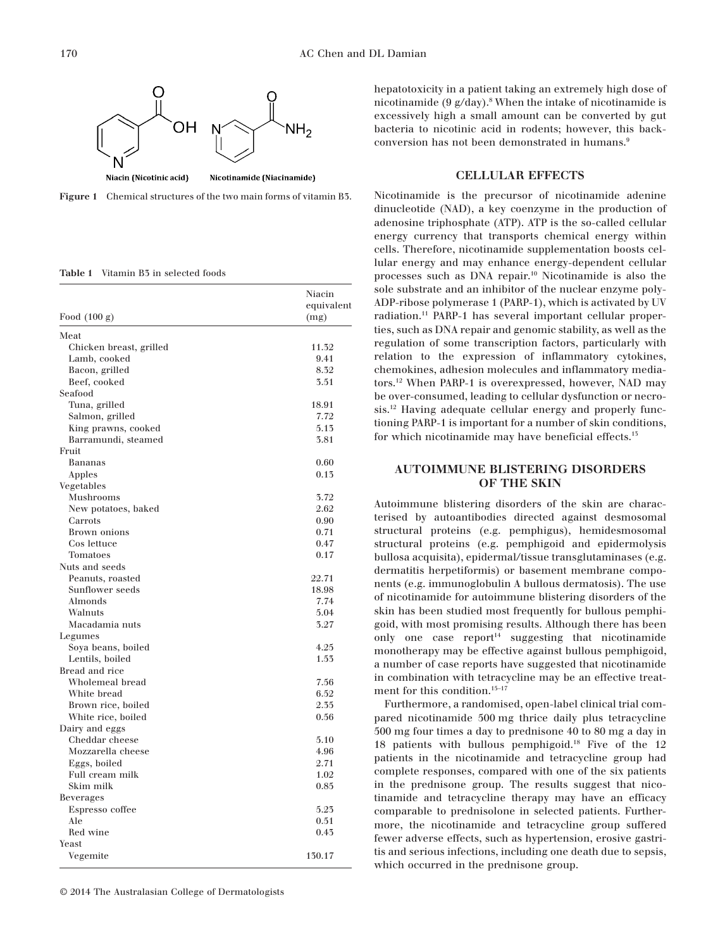



**Table 1** Vitamin B3 in selected foods

| Food $(100 g)$          | Niacin<br>equivalent<br>(mg) |
|-------------------------|------------------------------|
| Meat                    |                              |
| Chicken breast, grilled | 11.32                        |
| Lamb, cooked            | 9.41                         |
| Bacon, grilled          | 8.32                         |
| Beef, cooked            | 3.51                         |
| Seafood                 |                              |
| Tuna, grilled           | 18.91                        |
| Salmon, grilled         | 7.72                         |
| King prawns, cooked     | 5.13                         |
| Barramundi, steamed     | 3.81                         |
| Fruit                   |                              |
| Bananas                 | 0.60                         |
| Apples                  | 0.13                         |
| Vegetables              |                              |
| Mushrooms               | 3.72                         |
| New potatoes, baked     | 2.62                         |
| Carrots                 | 0.90                         |
| Brown onions            | 0.71                         |
| Cos lettuce             | 0.47                         |
| Tomatoes                | 0.17                         |
| Nuts and seeds          |                              |
| Peanuts, roasted        | 22.71                        |
| Sunflower seeds         | 18.98                        |
| Almonds                 | 7.74                         |
| Walnuts                 | 5.04                         |
| Macadamia nuts          | 3.27                         |
| Legumes                 |                              |
| Soya beans, boiled      | 4.25                         |
| Lentils, boiled         | 1.53                         |
| Bread and rice          |                              |
| Wholemeal bread         | 7.56                         |
| White bread             | 6.52                         |
| Brown rice, boiled      | 2.35                         |
| White rice, boiled      | 0.56                         |
| Dairy and eggs          |                              |
| Cheddar cheese          | 5.10                         |
| Mozzarella cheese       | 4.96                         |
| Eggs, boiled            | 2.71                         |
| Full cream milk         | 1.02                         |
| Skim milk               | 0.85                         |
| Beverages               |                              |
| Espresso coffee         | 5.23                         |
| Ale                     | 0.51                         |
| Red wine                | 0.43                         |
| Yeast                   |                              |
| Vegemite                | 130.17                       |

© 2014 The Australasian College of Dermatologists

hepatotoxicity in a patient taking an extremely high dose of nicotinamide (9  $g/day$ ).<sup>8</sup> When the intake of nicotinamide is excessively high a small amount can be converted by gut bacteria to nicotinic acid in rodents; however, this backconversion has not been demonstrated in humans.<sup>9</sup>

#### **CELLULAR EFFECTS**

Nicotinamide is the precursor of nicotinamide adenine dinucleotide (NAD), a key coenzyme in the production of adenosine triphosphate (ATP). ATP is the so-called cellular energy currency that transports chemical energy within cells. Therefore, nicotinamide supplementation boosts cellular energy and may enhance energy-dependent cellular processes such as DNA repair.<sup>10</sup> Nicotinamide is also the sole substrate and an inhibitor of the nuclear enzyme poly-ADP-ribose polymerase 1 (PARP-1), which is activated by UV radiation.<sup>11</sup> PARP-1 has several important cellular properties, such as DNA repair and genomic stability, as well as the regulation of some transcription factors, particularly with relation to the expression of inflammatory cytokines, chemokines, adhesion molecules and inflammatory mediators.<sup>12</sup> When PARP-1 is overexpressed, however, NAD may be over-consumed, leading to cellular dysfunction or necrosis.<sup>12</sup> Having adequate cellular energy and properly functioning PARP-1 is important for a number of skin conditions, for which nicotinamide may have beneficial effects.<sup>13</sup>

#### **AUTOIMMUNE BLISTERING DISORDERS OF THE SKIN**

Autoimmune blistering disorders of the skin are characterised by autoantibodies directed against desmosomal structural proteins (e.g. pemphigus), hemidesmosomal structural proteins (e.g. pemphigoid and epidermolysis bullosa acquisita), epidermal/tissue transglutaminases (e.g. dermatitis herpetiformis) or basement membrane components (e.g. immunoglobulin A bullous dermatosis). The use of nicotinamide for autoimmune blistering disorders of the skin has been studied most frequently for bullous pemphigoid, with most promising results. Although there has been only one case  $report<sup>14</sup>$  suggesting that nicotinamide monotherapy may be effective against bullous pemphigoid, a number of case reports have suggested that nicotinamide in combination with tetracycline may be an effective treatment for this condition.<sup>15-17</sup>

Furthermore, a randomised, open-label clinical trial compared nicotinamide 500 mg thrice daily plus tetracycline 500 mg four times a day to prednisone 40 to 80 mg a day in 18 patients with bullous pemphigoid.<sup>18</sup> Five of the 12 patients in the nicotinamide and tetracycline group had complete responses, compared with one of the six patients in the prednisone group. The results suggest that nicotinamide and tetracycline therapy may have an efficacy comparable to prednisolone in selected patients. Furthermore, the nicotinamide and tetracycline group suffered fewer adverse effects, such as hypertension, erosive gastritis and serious infections, including one death due to sepsis, which occurred in the prednisone group.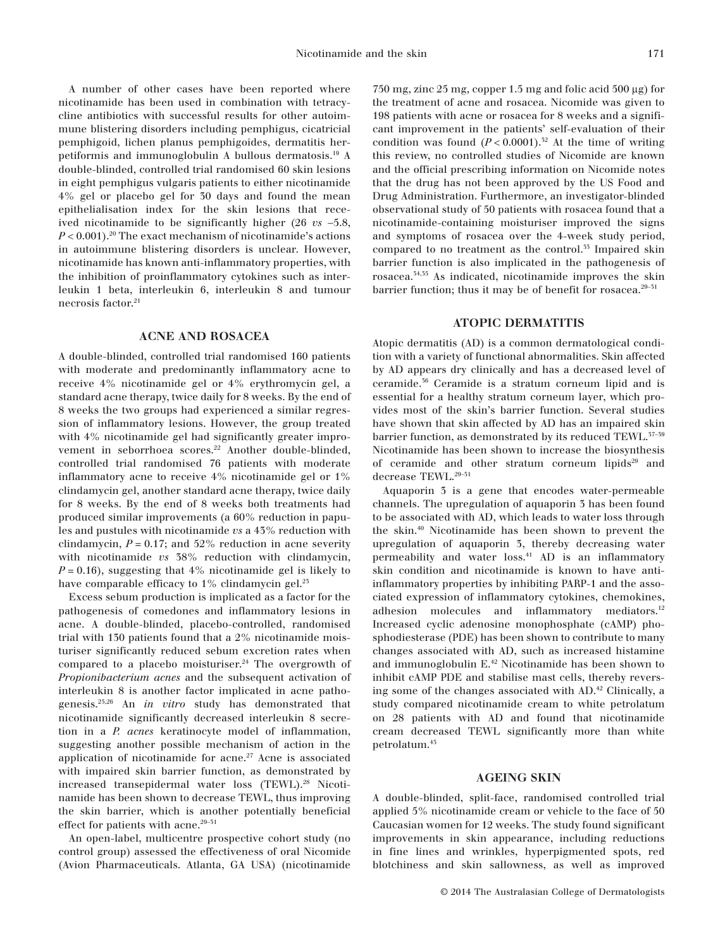A number of other cases have been reported where nicotinamide has been used in combination with tetracycline antibiotics with successful results for other autoimmune blistering disorders including pemphigus, cicatricial pemphigoid, lichen planus pemphigoides, dermatitis herpetiformis and immunoglobulin A bullous dermatosis.<sup>19</sup> A double-blinded, controlled trial randomised 60 skin lesions in eight pemphigus vulgaris patients to either nicotinamide 4% gel or placebo gel for 30 days and found the mean epithelialisation index for the skin lesions that received nicotinamide to be significantly higher (26 *vs* −5.8,  $P < 0.001$ .<sup>20</sup> The exact mechanism of nicotinamide's actions in autoimmune blistering disorders is unclear. However, nicotinamide has known anti-inflammatory properties, with the inhibition of proinflammatory cytokines such as interleukin 1 beta, interleukin 6, interleukin 8 and tumour necrosis factor. $^{21}$ 

#### **ACNE AND ROSACEA**

A double-blinded, controlled trial randomised 160 patients with moderate and predominantly inflammatory acne to receive 4% nicotinamide gel or 4% erythromycin gel, a standard acne therapy, twice daily for 8 weeks. By the end of 8 weeks the two groups had experienced a similar regression of inflammatory lesions. However, the group treated with 4% nicotinamide gel had significantly greater improvement in seborrhoea scores.<sup>22</sup> Another double-blinded, controlled trial randomised 76 patients with moderate inflammatory acne to receive 4% nicotinamide gel or 1% clindamycin gel, another standard acne therapy, twice daily for 8 weeks. By the end of 8 weeks both treatments had produced similar improvements (a 60% reduction in papules and pustules with nicotinamide *vs* a 43% reduction with clindamycin,  $P = 0.17$ ; and 52% reduction in acne severity with nicotinamide *vs* 38% reduction with clindamycin,  $P = 0.16$ , suggesting that 4% nicotinamide gel is likely to have comparable efficacy to  $1\%$  clindamycin gel.<sup>25</sup>

Excess sebum production is implicated as a factor for the pathogenesis of comedones and inflammatory lesions in acne. A double-blinded, placebo-controlled, randomised trial with 130 patients found that a 2% nicotinamide moisturiser significantly reduced sebum excretion rates when compared to a placebo moisturiser. $24$  The overgrowth of *Propionibacterium acnes* and the subsequent activation of interleukin 8 is another factor implicated in acne pathogenesis.25,26 An *in vitro* study has demonstrated that nicotinamide significantly decreased interleukin 8 secretion in a *P. acnes* keratinocyte model of inflammation, suggesting another possible mechanism of action in the application of nicotinamide for acne. $27$  Acne is associated with impaired skin barrier function, as demonstrated by increased transepidermal water loss (TEWL).<sup>28</sup> Nicotinamide has been shown to decrease TEWL, thus improving the skin barrier, which is another potentially beneficial effect for patients with acne.  $\real^{29-51}$ 

An open-label, multicentre prospective cohort study (no control group) assessed the effectiveness of oral Nicomide (Avion Pharmaceuticals. Atlanta, GA USA) (nicotinamide

750 mg, zinc 25 mg, copper 1.5 mg and folic acid 500 μg) for the treatment of acne and rosacea. Nicomide was given to 198 patients with acne or rosacea for 8 weeks and a significant improvement in the patients' self-evaluation of their condition was found  $(P < 0.0001)^{32}$  At the time of writing this review, no controlled studies of Nicomide are known and the official prescribing information on Nicomide notes that the drug has not been approved by the US Food and Drug Administration. Furthermore, an investigator-blinded observational study of 50 patients with rosacea found that a nicotinamide-containing moisturiser improved the signs and symptoms of rosacea over the 4-week study period, compared to no treatment as the control.<sup>35</sup> Impaired skin barrier function is also implicated in the pathogenesis of rosacea.34,35 As indicated, nicotinamide improves the skin barrier function; thus it may be of benefit for rosacea. $29-51$ 

#### **ATOPIC DERMATITIS**

Atopic dermatitis (AD) is a common dermatological condition with a variety of functional abnormalities. Skin affected by AD appears dry clinically and has a decreased level of ceramide.<sup>36</sup> Ceramide is a stratum corneum lipid and is essential for a healthy stratum corneum layer, which provides most of the skin's barrier function. Several studies have shown that skin affected by AD has an impaired skin barrier function, as demonstrated by its reduced TEWL.<sup>37-59</sup> Nicotinamide has been shown to increase the biosynthesis of ceramide and other stratum corneum lipids<sup>29</sup> and decrease TEWL.  $^{29-51}$ 

Aquaporin 3 is a gene that encodes water-permeable channels. The upregulation of aquaporin 3 has been found to be associated with AD, which leads to water loss through the skin.<sup>40</sup> Nicotinamide has been shown to prevent the upregulation of aquaporin 3, thereby decreasing water permeability and water loss.<sup>41</sup> AD is an inflammatory skin condition and nicotinamide is known to have antiinflammatory properties by inhibiting PARP-1 and the associated expression of inflammatory cytokines, chemokines, adhesion molecules and inflammatory mediators.<sup>12</sup> Increased cyclic adenosine monophosphate (cAMP) phosphodiesterase (PDE) has been shown to contribute to many changes associated with AD, such as increased histamine and immunoglobulin E.<sup>42</sup> Nicotinamide has been shown to inhibit cAMP PDE and stabilise mast cells, thereby reversing some of the changes associated with AD.<sup>42</sup> Clinically, a study compared nicotinamide cream to white petrolatum on 28 patients with AD and found that nicotinamide cream decreased TEWL significantly more than white petrolatum.<sup>43</sup>

#### **AGEING SKIN**

A double-blinded, split-face, randomised controlled trial applied 5% nicotinamide cream or vehicle to the face of 50 Caucasian women for 12 weeks. The study found significant improvements in skin appearance, including reductions in fine lines and wrinkles, hyperpigmented spots, red blotchiness and skin sallowness, as well as improved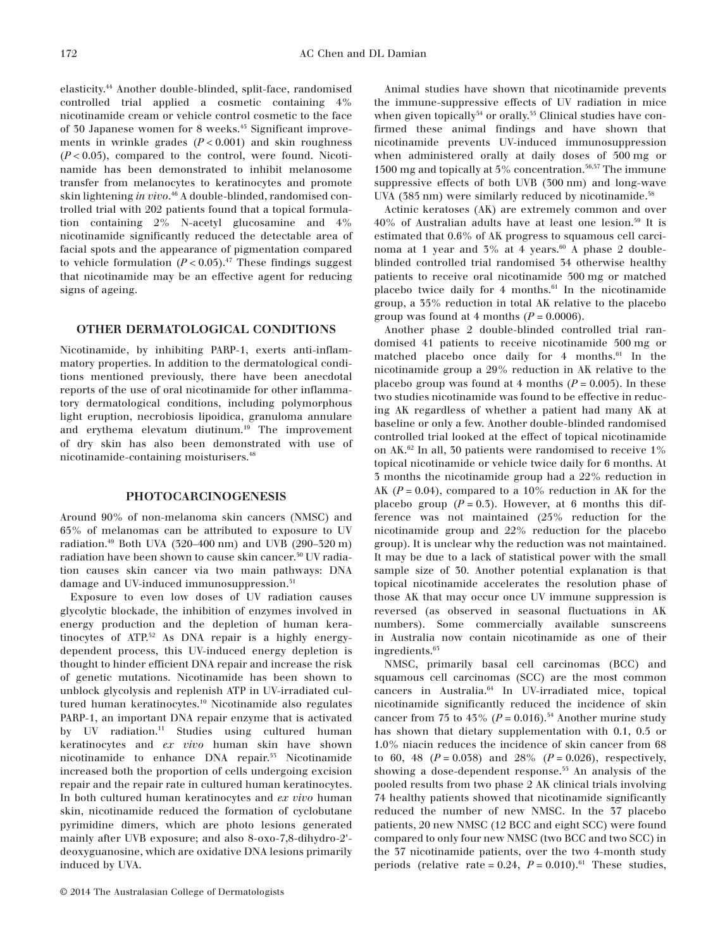elasticity.<sup>44</sup> Another double-blinded, split-face, randomised controlled trial applied a cosmetic containing 4% nicotinamide cream or vehicle control cosmetic to the face of 30 Japanese women for 8 weeks.<sup>45</sup> Significant improvements in wrinkle grades  $(P < 0.001)$  and skin roughness  $(P<0.05)$ , compared to the control, were found. Nicotinamide has been demonstrated to inhibit melanosome transfer from melanocytes to keratinocytes and promote skin lightening *in vivo*. <sup>46</sup> A double-blinded, randomised controlled trial with 202 patients found that a topical formulation containing 2% N-acetyl glucosamine and 4% nicotinamide significantly reduced the detectable area of facial spots and the appearance of pigmentation compared to vehicle formulation  $(P < 0.05)$ .<sup>47</sup> These findings suggest that nicotinamide may be an effective agent for reducing signs of ageing.

#### **OTHER DERMATOLOGICAL CONDITIONS**

Nicotinamide, by inhibiting PARP-1, exerts anti-inflammatory properties. In addition to the dermatological conditions mentioned previously, there have been anecdotal reports of the use of oral nicotinamide for other inflammatory dermatological conditions, including polymorphous light eruption, necrobiosis lipoidica, granuloma annulare and erythema elevatum diutinum.<sup>19</sup> The improvement of dry skin has also been demonstrated with use of nicotinamide-containing moisturisers.<sup>48</sup>

#### **PHOTOCARCINOGENESIS**

Around 90% of non-melanoma skin cancers (NMSC) and 65% of melanomas can be attributed to exposure to UV radiation.<sup>49</sup> Both UVA (320–400 nm) and UVB (290–320 m) radiation have been shown to cause skin cancer.<sup>50</sup> UV radiation causes skin cancer via two main pathways: DNA damage and UV-induced immunosuppression.<sup>51</sup>

Exposure to even low doses of UV radiation causes glycolytic blockade, the inhibition of enzymes involved in energy production and the depletion of human keratinocytes of ATP.<sup>52</sup> As DNA repair is a highly energydependent process, this UV-induced energy depletion is thought to hinder efficient DNA repair and increase the risk of genetic mutations. Nicotinamide has been shown to unblock glycolysis and replenish ATP in UV-irradiated cultured human keratinocytes.<sup>10</sup> Nicotinamide also regulates PARP-1, an important DNA repair enzyme that is activated by UV radiation.<sup>11</sup> Studies using cultured human keratinocytes and *ex vivo* human skin have shown nicotinamide to enhance DNA repair.<sup>55</sup> Nicotinamide increased both the proportion of cells undergoing excision repair and the repair rate in cultured human keratinocytes. In both cultured human keratinocytes and *ex vivo* human skin, nicotinamide reduced the formation of cyclobutane pyrimidine dimers, which are photo lesions generated mainly after UVB exposure; and also 8-oxo-7,8-dihydro-2' deoxyguanosine, which are oxidative DNA lesions primarily induced by UVA.

Animal studies have shown that nicotinamide prevents the immune-suppressive effects of UV radiation in mice when given topically<sup>54</sup> or orally.<sup>55</sup> Clinical studies have confirmed these animal findings and have shown that nicotinamide prevents UV-induced immunosuppression when administered orally at daily doses of 500 mg or 1500 mg and topically at 5% concentration.<sup>56,57</sup> The immune suppressive effects of both UVB (300 nm) and long-wave UVA  $(385 \text{ nm})$  were similarly reduced by nicotinamide.<sup>58</sup>

Actinic keratoses (AK) are extremely common and over 40% of Australian adults have at least one lesion.<sup>59</sup> It is estimated that 0.6% of AK progress to squamous cell carcinoma at 1 year and  $5\%$  at 4 years.<sup>60</sup> A phase 2 doubleblinded controlled trial randomised 34 otherwise healthy patients to receive oral nicotinamide 500 mg or matched placebo twice daily for 4 months. $61$  In the nicotinamide group, a 35% reduction in total AK relative to the placebo group was found at 4 months  $(P = 0.0006)$ .

Another phase 2 double-blinded controlled trial randomised 41 patients to receive nicotinamide 500 mg or matched placebo once daily for  $4$  months.<sup>61</sup> In the nicotinamide group a 29% reduction in AK relative to the placebo group was found at 4 months  $(P = 0.005)$ . In these two studies nicotinamide was found to be effective in reducing AK regardless of whether a patient had many AK at baseline or only a few. Another double-blinded randomised controlled trial looked at the effect of topical nicotinamide on AK.<sup>62</sup> In all, 30 patients were randomised to receive 1% topical nicotinamide or vehicle twice daily for 6 months. At 3 months the nicotinamide group had a 22% reduction in AK  $(P = 0.04)$ , compared to a 10% reduction in AK for the placebo group  $(P = 0.5)$ . However, at 6 months this difference was not maintained (25% reduction for the nicotinamide group and 22% reduction for the placebo group). It is unclear why the reduction was not maintained. It may be due to a lack of statistical power with the small sample size of 30. Another potential explanation is that topical nicotinamide accelerates the resolution phase of those AK that may occur once UV immune suppression is reversed (as observed in seasonal fluctuations in AK numbers). Some commercially available sunscreens in Australia now contain nicotinamide as one of their ingredients.<sup>65</sup>

NMSC, primarily basal cell carcinomas (BCC) and squamous cell carcinomas (SCC) are the most common cancers in Australia.<sup>64</sup> In UV-irradiated mice, topical nicotinamide significantly reduced the incidence of skin cancer from 75 to 43% ( $P = 0.016$ ).<sup>54</sup> Another murine study has shown that dietary supplementation with 0.1, 0.5 or 1.0% niacin reduces the incidence of skin cancer from 68 to 60, 48  $(P = 0.038)$  and 28%  $(P = 0.026)$ , respectively, showing a dose-dependent response.<sup>55</sup> An analysis of the pooled results from two phase 2 AK clinical trials involving 74 healthy patients showed that nicotinamide significantly reduced the number of new NMSC. In the 37 placebo patients, 20 new NMSC (12 BCC and eight SCC) were found compared to only four new NMSC (two BCC and two SCC) in the 37 nicotinamide patients, over the two 4-month study periods (relative rate =  $0.24$ ,  $P = 0.010$ ).<sup>61</sup> These studies,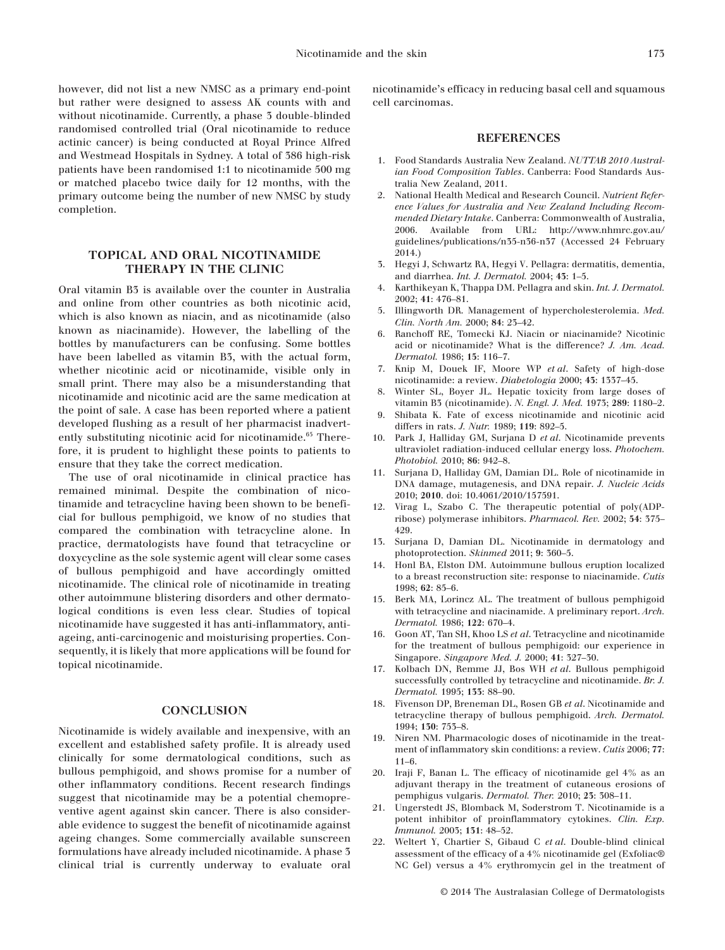however, did not list a new NMSC as a primary end-point but rather were designed to assess AK counts with and without nicotinamide. Currently, a phase 3 double-blinded randomised controlled trial (Oral nicotinamide to reduce actinic cancer) is being conducted at Royal Prince Alfred and Westmead Hospitals in Sydney. A total of 386 high-risk patients have been randomised 1:1 to nicotinamide 500 mg or matched placebo twice daily for 12 months, with the primary outcome being the number of new NMSC by study completion.

#### **TOPICAL AND ORAL NICOTINAMIDE THERAPY IN THE CLINIC**

Oral vitamin B3 is available over the counter in Australia and online from other countries as both nicotinic acid, which is also known as niacin, and as nicotinamide (also known as niacinamide). However, the labelling of the bottles by manufacturers can be confusing. Some bottles have been labelled as vitamin B3, with the actual form, whether nicotinic acid or nicotinamide, visible only in small print. There may also be a misunderstanding that nicotinamide and nicotinic acid are the same medication at the point of sale. A case has been reported where a patient developed flushing as a result of her pharmacist inadvertently substituting nicotinic acid for nicotinamide.<sup>65</sup> Therefore, it is prudent to highlight these points to patients to ensure that they take the correct medication.

The use of oral nicotinamide in clinical practice has remained minimal. Despite the combination of nicotinamide and tetracycline having been shown to be beneficial for bullous pemphigoid, we know of no studies that compared the combination with tetracycline alone. In practice, dermatologists have found that tetracycline or doxycycline as the sole systemic agent will clear some cases of bullous pemphigoid and have accordingly omitted nicotinamide. The clinical role of nicotinamide in treating other autoimmune blistering disorders and other dermatological conditions is even less clear. Studies of topical nicotinamide have suggested it has anti-inflammatory, antiageing, anti-carcinogenic and moisturising properties. Consequently, it is likely that more applications will be found for topical nicotinamide.

#### **CONCLUSION**

Nicotinamide is widely available and inexpensive, with an excellent and established safety profile. It is already used clinically for some dermatological conditions, such as bullous pemphigoid, and shows promise for a number of other inflammatory conditions. Recent research findings suggest that nicotinamide may be a potential chemopreventive agent against skin cancer. There is also considerable evidence to suggest the benefit of nicotinamide against ageing changes. Some commercially available sunscreen formulations have already included nicotinamide. A phase 3 clinical trial is currently underway to evaluate oral

nicotinamide's efficacy in reducing basal cell and squamous cell carcinomas.

#### **REFERENCES**

- 1. Food Standards Australia New Zealand. *NUTTAB 2010 Australian Food Composition Tables*. Canberra: Food Standards Australia New Zealand, 2011.
- 2. National Health Medical and Research Council. *Nutrient Reference Values for Australia and New Zealand Including Recommended Dietary Intake*. Canberra: Commonwealth of Australia, 2006. Available from URL: http://www.nhmrc.gov.au/ guidelines/publications/n35-n36-n37 (Accessed 24 February 2014.)
- 3. Hegyi J, Schwartz RA, Hegyi V. Pellagra: dermatitis, dementia, and diarrhea. *Int. J. Dermatol.* 2004; **43**: 1–5.
- 4. Karthikeyan K, Thappa DM. Pellagra and skin. *Int. J. Dermatol.* 2002; **41**: 476–81.
- 5. Illingworth DR. Management of hypercholesterolemia. *Med. Clin. North Am.* 2000; **84**: 23–42.
- 6. Ranchoff RE, Tomecki KJ. Niacin or niacinamide? Nicotinic acid or nicotinamide? What is the difference? *J. Am. Acad. Dermatol.* 1986; **15**: 116–7.
- 7. Knip M, Douek IF, Moore WP *et al*. Safety of high-dose nicotinamide: a review. *Diabetologia* 2000; **43**: 1337–45.
- 8. Winter SL, Boyer JL. Hepatic toxicity from large doses of vitamin B3 (nicotinamide). *N. Engl. J. Med.* 1973; **289**: 1180–2.
- 9. Shibata K. Fate of excess nicotinamide and nicotinic acid differs in rats. *J. Nutr.* 1989; **119**: 892–5.
- 10. Park J, Halliday GM, Surjana D *et al*. Nicotinamide prevents ultraviolet radiation-induced cellular energy loss. *Photochem. Photobiol.* 2010; **86**: 942–8.
- 11. Surjana D, Halliday GM, Damian DL. Role of nicotinamide in DNA damage, mutagenesis, and DNA repair. *J. Nucleic Acids* 2010; **2010**. doi: 10.4061/2010/157591.
- 12. Virag L, Szabo C. The therapeutic potential of poly(ADPribose) polymerase inhibitors. *Pharmacol. Rev.* 2002; **54**: 375– 429.
- 13. Surjana D, Damian DL. Nicotinamide in dermatology and photoprotection. *Skinmed* 2011; **9**: 360–5.
- 14. Honl BA, Elston DM. Autoimmune bullous eruption localized to a breast reconstruction site: response to niacinamide. *Cutis* 1998; **62**: 85–6.
- 15. Berk MA, Lorincz AL. The treatment of bullous pemphigoid with tetracycline and niacinamide. A preliminary report. *Arch. Dermatol.* 1986; **122**: 670–4.
- 16. Goon AT, Tan SH, Khoo LS *et al*. Tetracycline and nicotinamide for the treatment of bullous pemphigoid: our experience in Singapore. *Singapore Med. J.* 2000; **41**: 327–30.
- 17. Kolbach DN, Remme JJ, Bos WH *et al*. Bullous pemphigoid successfully controlled by tetracycline and nicotinamide. *Br. J. Dermatol.* 1995; **133**: 88–90.
- 18. Fivenson DP, Breneman DL, Rosen GB *et al*. Nicotinamide and tetracycline therapy of bullous pemphigoid. *Arch. Dermatol.* 1994; **130**: 753–8.
- 19. Niren NM. Pharmacologic doses of nicotinamide in the treatment of inflammatory skin conditions: a review. *Cutis* 2006; **77**:  $11–6$ .
- 20. Iraji F, Banan L. The efficacy of nicotinamide gel 4% as an adjuvant therapy in the treatment of cutaneous erosions of pemphigus vulgaris. *Dermatol. Ther.* 2010; **23**: 308–11.
- 21. Ungerstedt JS, Blomback M, Soderstrom T. Nicotinamide is a potent inhibitor of proinflammatory cytokines. *Clin. Exp. Immunol.* 2003; **131**: 48–52.
- 22. Weltert Y, Chartier S, Gibaud C *et al*. Double-blind clinical assessment of the efficacy of a 4% nicotinamide gel (Exfoliac® NC Gel) versus a 4% erythromycin gel in the treatment of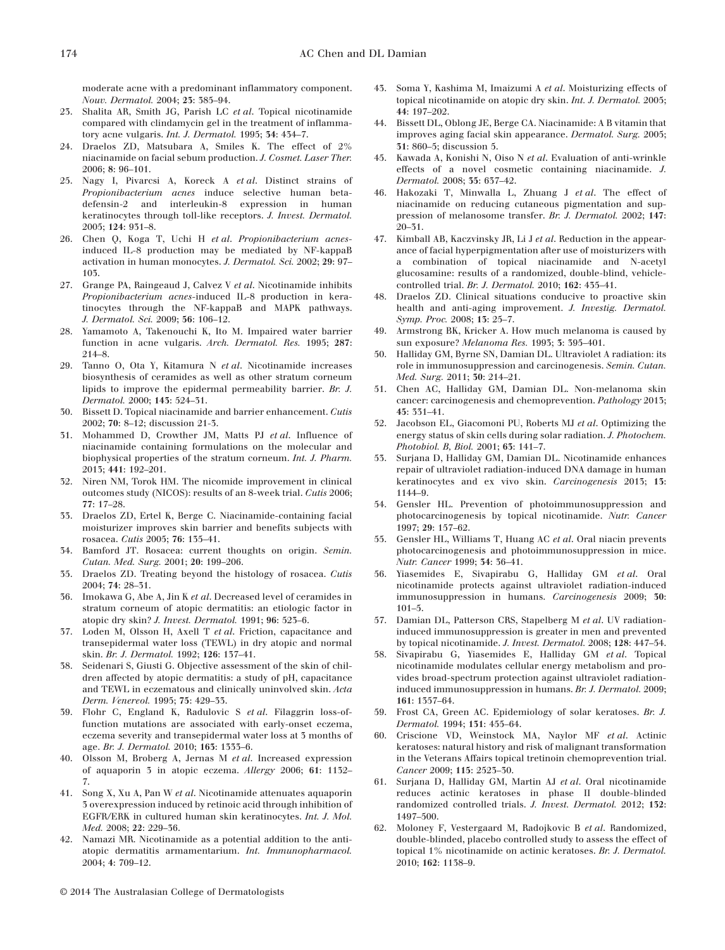moderate acne with a predominant inflammatory component. *Nouv. Dermatol.* 2004; **23**: 385–94.

- 23. Shalita AR, Smith JG, Parish LC *et al*. Topical nicotinamide compared with clindamycin gel in the treatment of inflammatory acne vulgaris. *Int. J. Dermatol.* 1995; **34**: 434–7.
- 24. Draelos ZD, Matsubara A, Smiles K. The effect of 2% niacinamide on facial sebum production. *J. Cosmet. Laser Ther.* 2006; **8**: 96–101.
- 25. Nagy I, Pivarcsi A, Koreck A *et al*. Distinct strains of *Propionibacterium acnes* induce selective human betadefensin-2 and interleukin-8 expression in human keratinocytes through toll-like receptors. *J. Invest. Dermatol.* 2005; **124**: 931–8.
- 26. Chen Q, Koga T, Uchi H *et al*. *Propionibacterium acnes*induced IL-8 production may be mediated by NF-kappaB activation in human monocytes. *J. Dermatol. Sci.* 2002; **29**: 97– 103.
- 27. Grange PA, Raingeaud J, Calvez V *et al*. Nicotinamide inhibits *Propionibacterium acnes*-induced IL-8 production in keratinocytes through the NF-kappaB and MAPK pathways. *J. Dermatol. Sci.* 2009; **56**: 106–12.
- 28. Yamamoto A, Takenouchi K, Ito M. Impaired water barrier function in acne vulgaris. *Arch. Dermatol. Res.* 1995; **287**: 214–8.
- 29. Tanno O, Ota Y, Kitamura N *et al*. Nicotinamide increases biosynthesis of ceramides as well as other stratum corneum lipids to improve the epidermal permeability barrier. *Br. J. Dermatol.* 2000; **143**: 524–31.
- 30. Bissett D. Topical niacinamide and barrier enhancement. *Cutis* 2002; **70**: 8–12; discussion 21-3.
- 31. Mohammed D, Crowther JM, Matts PJ *et al*. Influence of niacinamide containing formulations on the molecular and biophysical properties of the stratum corneum. *Int. J. Pharm.* 2013; **441**: 192–201.
- 32. Niren NM, Torok HM. The nicomide improvement in clinical outcomes study (NICOS): results of an 8-week trial. *Cutis* 2006; **77**: 17–28.
- 33. Draelos ZD, Ertel K, Berge C. Niacinamide-containing facial moisturizer improves skin barrier and benefits subjects with rosacea. *Cutis* 2005; **76**: 135–41.
- 34. Bamford JT. Rosacea: current thoughts on origin. *Semin. Cutan. Med. Surg.* 2001; **20**: 199–206.
- 35. Draelos ZD. Treating beyond the histology of rosacea. *Cutis* 2004; **74**: 28–31.
- 36. Imokawa G, Abe A, Jin K *et al*. Decreased level of ceramides in stratum corneum of atopic dermatitis: an etiologic factor in atopic dry skin? *J. Invest. Dermatol.* 1991; **96**: 523–6.
- 37. Loden M, Olsson H, Axell T *et al*. Friction, capacitance and transepidermal water loss (TEWL) in dry atopic and normal skin. *Br. J. Dermatol.* 1992; **126**: 137–41.
- 38. Seidenari S, Giusti G. Objective assessment of the skin of children affected by atopic dermatitis: a study of pH, capacitance and TEWL in eczematous and clinically uninvolved skin. *Acta Derm. Venereol.* 1995; **75**: 429–33.
- 39. Flohr C, England K, Radulovic S *et al*. Filaggrin loss-offunction mutations are associated with early-onset eczema, eczema severity and transepidermal water loss at 3 months of age. *Br. J. Dermatol.* 2010; **163**: 1333–6.
- 40. Olsson M, Broberg A, Jernas M *et al*. Increased expression of aquaporin 3 in atopic eczema. *Allergy* 2006; **61**: 1132– 7.
- 41. Song X, Xu A, Pan W *et al*. Nicotinamide attenuates aquaporin 3 overexpression induced by retinoic acid through inhibition of EGFR/ERK in cultured human skin keratinocytes. *Int. J. Mol. Med.* 2008; **22**: 229–36.
- 42. Namazi MR. Nicotinamide as a potential addition to the antiatopic dermatitis armamentarium. *Int. Immunopharmacol.* 2004; **4**: 709–12.
- 43. Soma Y, Kashima M, Imaizumi A *et al*. Moisturizing effects of topical nicotinamide on atopic dry skin. *Int. J. Dermatol.* 2005; **44**: 197–202.
- 44. Bissett DL, Oblong JE, Berge CA. Niacinamide: A B vitamin that improves aging facial skin appearance. *Dermatol. Surg.* 2005; **31**: 860–5; discussion 5.
- 45. Kawada A, Konishi N, Oiso N *et al*. Evaluation of anti-wrinkle effects of a novel cosmetic containing niacinamide. *J. Dermatol.* 2008; **35**: 637–42.
- 46. Hakozaki T, Minwalla L, Zhuang J *et al*. The effect of niacinamide on reducing cutaneous pigmentation and suppression of melanosome transfer. *Br. J. Dermatol.* 2002; **147**: 20–31.
- 47. Kimball AB, Kaczvinsky JR, Li J *et al*. Reduction in the appearance of facial hyperpigmentation after use of moisturizers with a combination of topical niacinamide and N-acetyl glucosamine: results of a randomized, double-blind, vehiclecontrolled trial. *Br. J. Dermatol.* 2010; **162**: 435–41.
- 48. Draelos ZD. Clinical situations conducive to proactive skin health and anti-aging improvement. *J. Investig. Dermatol. Symp. Proc.* 2008; **13**: 25–7.
- 49. Armstrong BK, Kricker A. How much melanoma is caused by sun exposure? *Melanoma Res.* 1993; **3**: 395–401.
- 50. Halliday GM, Byrne SN, Damian DL. Ultraviolet A radiation: its role in immunosuppression and carcinogenesis. *Semin. Cutan. Med. Surg.* 2011; **30**: 214–21.
- 51. Chen AC, Halliday GM, Damian DL. Non-melanoma skin cancer: carcinogenesis and chemoprevention. *Pathology* 2013; **45**: 331–41.
- 52. Jacobson EL, Giacomoni PU, Roberts MJ *et al*. Optimizing the energy status of skin cells during solar radiation. *J. Photochem. Photobiol. B, Biol.* 2001; **63**: 141–7.
- 53. Surjana D, Halliday GM, Damian DL. Nicotinamide enhances repair of ultraviolet radiation-induced DNA damage in human keratinocytes and ex vivo skin. *Carcinogenesis* 2013; **13**: 1144–9.
- 54. Gensler HL. Prevention of photoimmunosuppression and photocarcinogenesis by topical nicotinamide. *Nutr. Cancer* 1997; **29**: 157–62.
- 55. Gensler HL, Williams T, Huang AC *et al*. Oral niacin prevents photocarcinogenesis and photoimmunosuppression in mice. *Nutr. Cancer* 1999; **34**: 36–41.
- 56. Yiasemides E, Sivapirabu G, Halliday GM *et al*. Oral nicotinamide protects against ultraviolet radiation-induced immunosuppression in humans. *Carcinogenesis* 2009; **30**: 101–5.
- 57. Damian DL, Patterson CRS, Stapelberg M *et al*. UV radiationinduced immunosuppression is greater in men and prevented by topical nicotinamide. *J. Invest. Dermatol.* 2008; **128**: 447–54.
- 58. Sivapirabu G, Yiasemides E, Halliday GM *et al*. Topical nicotinamide modulates cellular energy metabolism and provides broad-spectrum protection against ultraviolet radiationinduced immunosuppression in humans. *Br. J. Dermatol.* 2009; **161**: 1357–64.
- 59. Frost CA, Green AC. Epidemiology of solar keratoses. *Br. J. Dermatol.* 1994; **131**: 455–64.
- 60. Criscione VD, Weinstock MA, Naylor MF *et al*. Actinic keratoses: natural history and risk of malignant transformation in the Veterans Affairs topical tretinoin chemoprevention trial. *Cancer* 2009; **115**: 2523–30.
- 61. Surjana D, Halliday GM, Martin AJ *et al*. Oral nicotinamide reduces actinic keratoses in phase II double-blinded randomized controlled trials. *J. Invest. Dermatol.* 2012; **132**: 1497–500.
- 62. Moloney F, Vestergaard M, Radojkovic B *et al*. Randomized, double-blinded, placebo controlled study to assess the effect of topical 1% nicotinamide on actinic keratoses. *Br. J. Dermatol.* 2010; **162**: 1138–9.